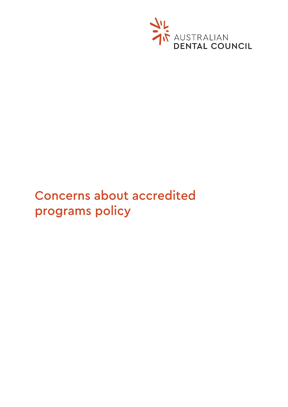

# **Concerns about accredited** programs policy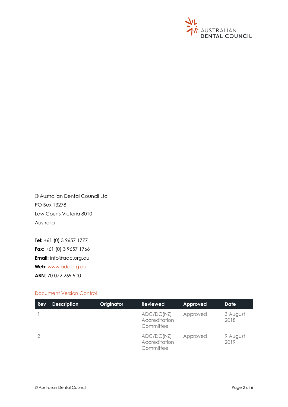

© Australian Dental Council Ltd PO Box 13278 Law Courts Victoria 8010 Australia

**Tel:** +61 (0) 3 9657 1777 **Fax:** +61 (0) 3 9657 1766 **Email:** info@adc.org.au **Web:** [www.adc.org.au](http://www.adc.org.au/) **ABN**: 70 072 269 900

## Document Version Control

| <b>Rev</b> | <b>Description</b> | Originator | <b>Reviewed</b>                          | Approved | <b>Date</b>      |
|------------|--------------------|------------|------------------------------------------|----------|------------------|
|            |                    |            | ADC/DC(NZ)<br>Accreditation<br>Committee | Approved | 3 August<br>2018 |
|            |                    |            | ADC/DC(NZ)<br>Accreditation<br>Committee | Approved | 9 August<br>2019 |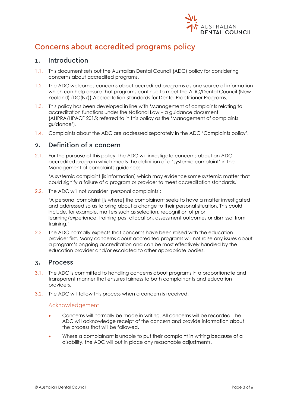

## Concerns about accredited programs policy

#### Introduction  $\mathbf{1}$ .

- 1.1. This document sets out the Australian Dental Council (ADC) policy for considering concerns about accredited programs.
- 1.2. The ADC welcomes concerns about accredited programs as one source of information which can help ensure that programs continue to meet the ADC/Dental Council (New Zealand) (DC(NZ)) Accreditation Standards for Dental Practitioner Programs.
- 1.3. This policy has been developed in line with 'Management of complaints relating to accreditation functions under the National Law – a guidance document' (AHPRA/HPACF 2015; referred to in this policy as the 'Management of complaints guidance').
- 1.4. Complaints about the ADC are addressed separately in the ADC 'Complaints policy'.

#### Definition of a concern  $2<sub>1</sub>$

2.1. For the purpose of this policy, the ADC will investigate concerns about an ADC accredited program which meets the definition of a 'systemic complaint' in the Management of complaints guidance:

'A systemic complaint [is information] which may evidence some systemic matter that could signify a failure of a program or provider to meet accreditation standards.'

2.2. The ADC will not consider 'personal complaints':

'A personal complaint [is where] the complainant seeks to have a matter investigated and addressed so as to bring about a change to their personal situation. This could include, for example, matters such as selection, recognition of prior learning/experience, training post allocation, assessment outcomes or dismissal from training.'

2.3. The ADC normally expects that concerns have been raised with the education provider first. Many concerns about accredited programs will not raise any issues about a program's ongoing accreditation and can be most effectively handled by the education provider and/or escalated to other appropriate bodies.

#### **Process**  $\overline{3}$ .

- 3.1. The ADC is committed to handling concerns about programs in a proportionate and transparent manner that ensures fairness to both complainants and education providers.
- 3.2. The ADC will follow this process when a concern is received.

## Acknowledgement

- Concerns will normally be made in writing. All concerns will be recorded. The ADC will acknowledge receipt of the concern and provide information about the process that will be followed.
- Where a complainant is unable to put their complaint in writing because of a disability, the ADC will put in place any reasonable adjustments.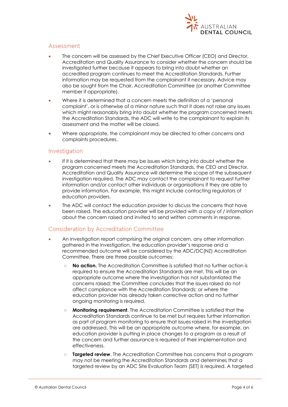

## Assessment

- The concern will be assessed by the Chief Executive Officer (CEO) and Director, Accreditation and Quality Assurance to consider whether the concern should be investigated further because it appears to bring into doubt whether an accredited program continues to meet the Accreditation Standards. Further information may be requested from the complainant if necessary. Advice may also be sought from the Chair, Accreditation Committee (or another Committee member if appropriate).
- Where it is determined that a concern meets the definition of a 'personal complaint', or is otherwise of a minor nature such that it does not raise any issues which might reasonably bring into doubt whether the program concerned meets the Accreditation Standards, the ADC will write to the complainant to explain its assessment and the matter will be closed.
- Where appropriate, the complainant may be directed to other concerns and complaints procedures.

## Investigation

- If it is determined that there may be issues which bring into doubt whether the program concerned meets the Accreditation Standards, the CEO and Director, Accreditation and Quality Assurance will determine the scope of the subsequent investigation required. The ADC may contact the complainant to request further information and/or contact other individuals or organisations if they are able to provide information. For example, this might include contacting regulators of education providers.
- The ADC will contact the education provider to discuss the concerns that have been raised. The education provider will be provided with a copy of / information about the concern raised and invited to send written comments in response.

## Consideration by Accreditation Committee

- An investigation report comprising the original concern, any other information gathered in the investigation, the education provider's response and a recommended outcome will be considered by the ADC/DC(NZ) Accreditation Committee. There are three possible outcomes:
	- **○ No action.** The Accreditation Committee is satisfied that no further action is required to ensure the Accreditation Standards are met. This will be an appropriate outcome where the investigation has not substantiated the concerns raised; the Committee concludes that the issues raised do not affect compliance with the Accreditation Standards; or where the education provider has already taken corrective action and no further ongoing monitoring is required.
	- **○ Monitoring requirement**. The Accreditation Committee is satisfied that the Accreditation Standards continue to be met but requires further information as part of program monitoring to ensure that issues raised in the investigation are addressed. This will be an appropriate outcome where, for example, an education provider is putting in place changes to a program as a result of the concern and further assurance is required of their implementation and effectiveness.
	- **Targeted review.** The Accreditation Committee has concerns that a program may not be meeting the Accreditation Standards and determines that a targeted review by an ADC Site Evaluation Team (SET) is required. A targeted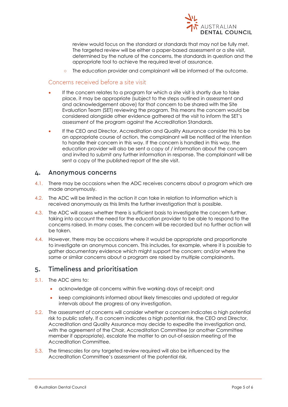

review would focus on the standard or standards that may not be fully met. The targeted review will be either a paper-based assessment or a site visit, determined by the nature of the concerns, the standards in question and the appropriate tool to achieve the required level of assurance.

**○** The education provider and complainant will be informed of the outcome.

## Concerns received before a site visit

- If the concern relates to a program for which a site visit is shortly due to take place, it may be appropriate (subject to the steps outlined in assessment and and acknowledgement above) for that concern to be shared with the Site Evaluation Team (SET) reviewing the program. This means the concern would be considered alongside other evidence gathered at the visit to inform the SET's assessment of the program against the Accreditation Standards.
- If the CEO and Director, Accreditation and Quality Assurance consider this to be an appropriate course of action, the complainant will be notified of the intention to handle their concern in this way. If the concern is handled in this way, the education provider will also be sent a copy of / information about the concern and invited to submit any further information in response. The complainant will be sent a copy of the published report of the site visit.

#### **Anonymous concerns** 4.

- 4.1. There may be occasions when the ADC receives concerns about a program which are made anonymously.
- 4.2. The ADC will be limited in the action it can take in relation to information which is received anonymously as this limits the further investigation that is possible.
- 4.3. The ADC will assess whether there is sufficient basis to investigate the concern further, taking into account the need for the education provider to be able to respond to the concerns raised. In many cases, the concern will be recorded but no further action will be taken.
- 4.4. However, there may be occasions where it would be appropriate and proportionate to investigate an anonymous concern. This includes, for example, where it is possible to gather documentary evidence which might support the concern; and/or where the same or similar concerns about a program are raised by multiple complainants.

#### Timeliness and prioritisation 5.

- 5.1. The ADC aims to:
	- acknowledge all concerns within five working days of receipt; and
	- keep complainants informed about likely timescales and updated at regular intervals about the progress of any investigation.
- 5.2. The assessment of concerns will consider whether a concern indicates a high potential risk to public safety. If a concern indicates a high potential risk, the CEO and Director, Accreditation and Quality Assurance may decide to expedite the investigation and, with the agreement of the Chair, Accreditation Committee (or another Committee member if appropriate), escalate the matter to an out-of-session meeting of the Accreditation Committee.
- 5.3. The timescales for any targeted review required will also be influenced by the Accreditation Committee's assessment of the potential risk.